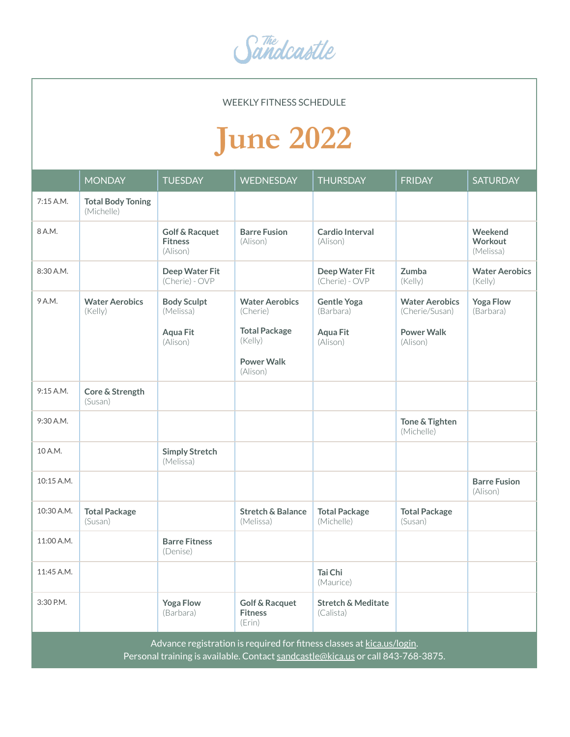Sandcastle

WEEKLY FITNESS SCHEDULE

## **June 2022**

|                                                                                                                                                            | <b>MONDAY</b>                          | <b>TUESDAY</b>                                          | <b>WEDNESDAY</b>                                      | <b>THURSDAY</b>                            | <b>FRIDAY</b>                           | <b>SATURDAY</b>                  |  |
|------------------------------------------------------------------------------------------------------------------------------------------------------------|----------------------------------------|---------------------------------------------------------|-------------------------------------------------------|--------------------------------------------|-----------------------------------------|----------------------------------|--|
| 7:15 A.M.                                                                                                                                                  | <b>Total Body Toning</b><br>(Michelle) |                                                         |                                                       |                                            |                                         |                                  |  |
| 8 A.M.                                                                                                                                                     |                                        | <b>Golf &amp; Racquet</b><br><b>Fitness</b><br>(Alison) | <b>Barre Fusion</b><br>(Alison)                       | Cardio Interval<br>(Alison)                |                                         | Weekend<br>Workout<br>(Melissa)  |  |
| 8:30 A.M.                                                                                                                                                  |                                        | Deep Water Fit<br>(Cherie) - OVP                        |                                                       | Deep Water Fit<br>(Cherie) - OVP           | Zumba<br>(Kelly)                        | <b>Water Aerobics</b><br>(Kelly) |  |
| 9 A.M.                                                                                                                                                     | <b>Water Aerobics</b><br>(Kelly)       | <b>Body Sculpt</b><br>(Melissa)                         | <b>Water Aerobics</b><br>(Cherie)                     | <b>Gentle Yoga</b><br>(Barbara)            | <b>Water Aerobics</b><br>(Cherie/Susan) | <b>Yoga Flow</b><br>(Barbara)    |  |
|                                                                                                                                                            |                                        | <b>Aqua Fit</b><br>(Alison)                             | <b>Total Package</b><br>(Kelly)                       | <b>Aqua Fit</b><br>(Alison)                | <b>Power Walk</b><br>(Alison)           |                                  |  |
|                                                                                                                                                            |                                        |                                                         | <b>Power Walk</b><br>(Alison)                         |                                            |                                         |                                  |  |
| 9:15 A.M.                                                                                                                                                  | Core & Strength<br>(Susan)             |                                                         |                                                       |                                            |                                         |                                  |  |
| 9:30 A.M.                                                                                                                                                  |                                        |                                                         |                                                       |                                            | Tone & Tighten<br>(Michelle)            |                                  |  |
| 10 A.M.                                                                                                                                                    |                                        | <b>Simply Stretch</b><br>(Melissa)                      |                                                       |                                            |                                         |                                  |  |
| 10:15 A.M.                                                                                                                                                 |                                        |                                                         |                                                       |                                            |                                         | <b>Barre Fusion</b><br>(Alison)  |  |
| 10:30 A.M.                                                                                                                                                 | <b>Total Package</b><br>(Susan)        |                                                         | <b>Stretch &amp; Balance</b><br>(Melissa)             | <b>Total Package</b><br>(Michelle)         | <b>Total Package</b><br>(Susan)         |                                  |  |
| 11:00 A.M.                                                                                                                                                 |                                        | <b>Barre Fitness</b><br>(Denise)                        |                                                       |                                            |                                         |                                  |  |
| 11:45 A.M.                                                                                                                                                 |                                        |                                                         |                                                       | Tai Chi<br>(Maurice)                       |                                         |                                  |  |
| 3:30 P.M.                                                                                                                                                  |                                        | <b>Yoga Flow</b><br>(Barbara)                           | <b>Golf &amp; Racquet</b><br><b>Fitness</b><br>(Erin) | <b>Stretch &amp; Meditate</b><br>(Calista) |                                         |                                  |  |
| Advance registration is required for fitness classes at kica.us/login.<br>Personal training is available. Contact sandcastle@kica.us or call 843-768-3875. |                                        |                                                         |                                                       |                                            |                                         |                                  |  |